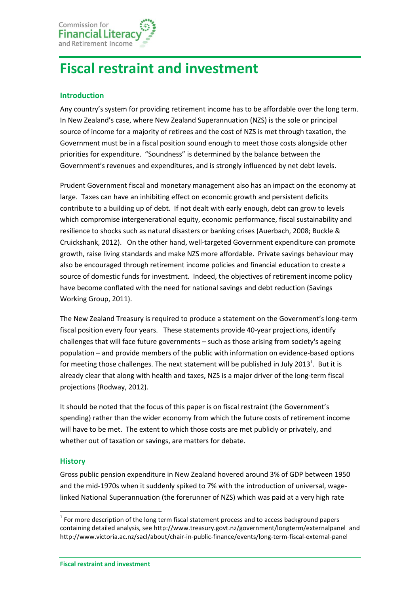# **Fiscal restraint and investment**

### **Introduction**

Any country's system for providing retirement income has to be affordable over the long term. In New Zealand's case, where New Zealand Superannuation (NZS) is the sole or principal source of income for a majority of retirees and the cost of NZS is met through taxation, the Government must be in a fiscal position sound enough to meet those costs alongside other priorities for expenditure. "Soundness" is determined by the balance between the Government's revenues and expenditures, and is strongly influenced by net debt levels.

Prudent Government fiscal and monetary management also has an impact on the economy at large. Taxes can have an inhibiting effect on economic growth and persistent deficits contribute to a building up of debt. If not dealt with early enough, debt can grow to levels which compromise intergenerational equity, economic performance, fiscal sustainability and resilience to shocks such as natural disasters or banking crises [\(Auerbach,](#page-5-0) 2008; [Buckle &](#page-5-1) [Cruickshank,](#page-5-1) 2012). On the other hand, well-targeted Government expenditure can promote growth, raise living standards and make NZS more affordable. Private savings behaviour may also be encouraged through retirement income policies and financial education to create a source of domestic funds for investment. Indeed, the objectives of retirement income policy have become conflated with the need for national savings and debt reduction [\(Savings](#page-6-0)  [Working Group,](#page-6-0) 2011).

The New Zealand Treasury is required to produce a statement on the Government's long-term fiscal position every four years. These statements provide 40-year projections, identify challenges that will face future governments – such as those arising from society's ageing population – and provide members of the public with information on evidence-based options for meeting those challenges. The next statement will be published in July 2013<sup>1</sup>. But it is already clear that along with health and taxes, NZS is a major driver of the long-term fiscal projections [\(Rodway,](#page-6-1) 2012).

It should be noted that the focus of this paper is on fiscal restraint (the Government's spending) rather than the wider economy from which the future costs of retirement income will have to be met. The extent to which those costs are met publicly or privately, and whether out of taxation or savings, are matters for debate.

#### **History**

**.** 

Gross public pension expenditure in New Zealand hovered around 3% of GDP between 1950 and the mid-1970s when it suddenly spiked to 7% with the introduction of universal, wagelinked National Superannuation (the forerunner of NZS) which was paid at a very high rate

 $1$  For more description of the long term fiscal statement process and to access background papers containing detailed analysis, see<http://www.treasury.govt.nz/government/longterm/externalpanel>and <http://www.victoria.ac.nz/sacl/about/chair-in-public-finance/events/long-term-fiscal-external-panel>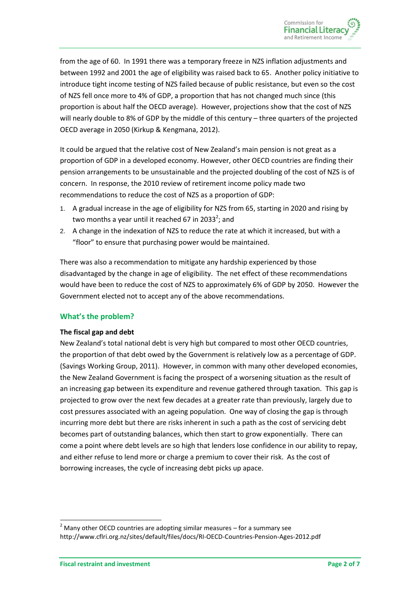from the age of 60. In 1991 there was a temporary freeze in NZS inflation adjustments and between 1992 and 2001 the age of eligibility was raised back to 65. Another policy initiative to introduce tight income testing of NZS failed because of public resistance, but even so the cost of NZS fell once more to 4% of GDP, a proportion that has not changed much since (this proportion is about half the OECD average). However, projections show that the cost of NZS will nearly double to 8% of GDP by the middle of this century – three quarters of the projected OECD average in 2050 (Kirkup & Kengmana, 2012).

It could be argued that the relative cost of New Zealand's main pension is not great as a proportion of GDP in a developed economy. However, other OECD countries are finding their pension arrangements to be unsustainable and the projected doubling of the cost of NZS is of concern. In response, the 2010 review of retirement income policy made two recommendations to reduce the cost of NZS as a proportion of GDP:

- 1. A gradual increase in the age of eligibility for NZS from 65, starting in 2020 and rising by two months a year until it reached 67 in 2033<sup>2</sup>; and
- 2. A change in the indexation of NZS to reduce the rate at which it increased, but with a "floor" to ensure that purchasing power would be maintained.

There was also a recommendation to mitigate any hardship experienced by those disadvantaged by the change in age of eligibility. The net effect of these recommendations would have been to reduce the cost of NZS to approximately 6% of GDP by 2050. However the Government elected not to accept any of the above recommendations.

#### **What's the problem?**

#### **The fiscal gap and debt**

New Zealand's total national debt is very high but compared to most other OECD countries, the proportion of that debt owed by the Government is relatively low as a percentage of GDP. [\(Savings Working Group,](#page-6-0) 2011). However, in common with many other developed economies, the New Zealand Government is facing the prospect of a worsening situation as the result of an increasing gap between its expenditure and revenue gathered through taxation. This gap is projected to grow over the next few decades at a greater rate than previously, largely due to cost pressures associated with an ageing population. One way of closing the gap is through incurring more debt but there are risks inherent in such a path as the cost of servicing debt becomes part of outstanding balances, which then start to grow exponentially. There can come a point where debt levels are so high that lenders lose confidence in our ability to repay, and either refuse to lend more or charge a premium to cover their risk. As the cost of borrowing increases, the cycle of increasing debt picks up apace.

1

 $2$  Many other OECD countries are adopting similar measures – for a summary see <http://www.cflri.org.nz/sites/default/files/docs/RI-OECD-Countries-Pension-Ages-2012.pdf>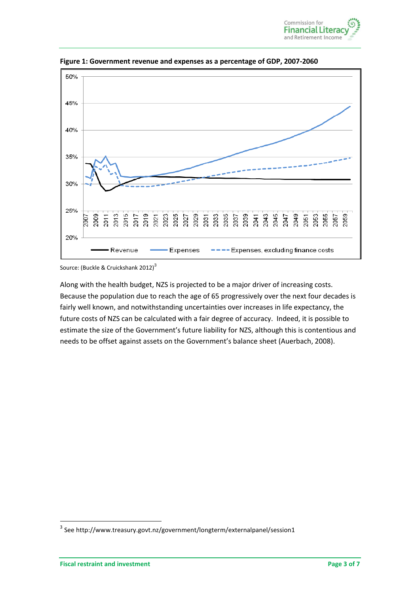



**Figure 1: Government revenue and expenses as a percentage of GDP, 2007-2060**

Source: (Buckle & [Cruickshank 2012\)](#page-5-1)<sup>3</sup>

Along with the health budget, NZS is projected to be a major driver of increasing costs. Because the population due to reach the age of 65 progressively over the next four decades is fairly well known, and notwithstanding uncertainties over increases in life expectancy, the future costs of NZS can be calculated with a fair degree of accuracy. Indeed, it is possible to estimate the size of the Government's future liability for NZS, although this is contentious and needs to be offset against assets on the Government's balance sheet [\(Auerbach,](#page-5-0) 2008).

**.** 

<sup>&</sup>lt;sup>3</sup> See<http://www.treasury.govt.nz/government/longterm/externalpanel/session1>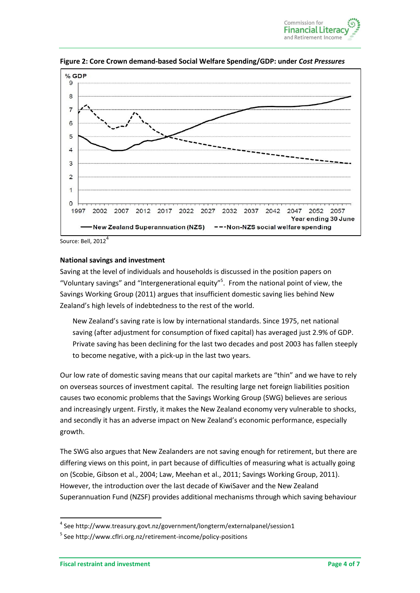



**Figure 2: Core Crown demand-based Social Welfare Spending/GDP: under** *Cost Pressures*

Source: Bell, 2012<sup>4</sup>

#### **National savings and investment**

Saving at the level of individuals and households is discussed in the position papers on "Voluntary savings" and "Intergenerational equity"<sup>5</sup>. From the national point of view, the Savings Working Group [\(2011\)](#page-6-0) argues that insufficient domestic saving lies behind New Zealand's high levels of indebtedness to the rest of the world.

New Zealand's saving rate is low by international standards. Since 1975, net national saving (after adjustment for consumption of fixed capital) has averaged just 2.9% of GDP. Private saving has been declining for the last two decades and post 2003 has fallen steeply to become negative, with a pick-up in the last two years.

Our low rate of domestic saving means that our capital markets are "thin" and we have to rely on overseas sources of investment capital. The resulting large net foreign liabilities position causes two economic problems that the Savings Working Group (SWG) believes are serious and increasingly urgent. Firstly, it makes the New Zealand economy very vulnerable to shocks, and secondly it has an adverse impact on New Zealand's economic performance, especially growth.

The SWG also argues that New Zealanders are not saving enough for retirement, but there are differing views on this point, in part because of difficulties of measuring what is actually going on [\(Scobie, Gibson et al.,](#page-6-2) 2004; [Law, Meehan et al.,](#page-5-2) 2011[; Savings Working Group,](#page-6-0) 2011). However, the introduction over the last decade of KiwiSaver and the New Zealand Superannuation Fund (NZSF) provides additional mechanisms through which saving behaviour

1

<sup>4</sup> Se[e http://www.treasury.govt.nz/government/longterm/externalpanel/session1](http://www.treasury.govt.nz/government/longterm/externalpanel/session1)

<sup>5</sup> Se[e http://www.cflri.org.nz/retirement-income/policy-positions](http://www.cflri.org.nz/retirement-income/policy-positions)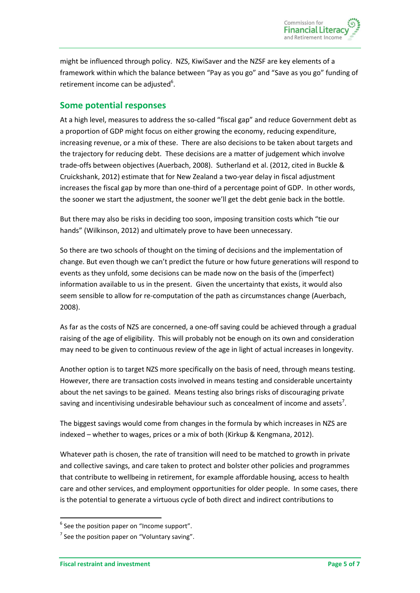might be influenced through policy. NZS, KiwiSaver and the NZSF are key elements of a framework within which the balance between "Pay as you go" and "Save as you go" funding of retirement income can be adjusted $6$ .

## **Some potential responses**

At a high level, measures to address the so-called "fiscal gap" and reduce Government debt as a proportion of GDP might focus on either growing the economy, reducing expenditure, increasing revenue, or a mix of these. There are also decisions to be taken about targets and the trajectory for reducing debt. These decisions are a matter of judgement which involve trade-offs between objectives [\(Auerbach,](#page-5-0) 2008). Sutherland et al. (2012, cited in Buckle & Cruickshank, 2012) estimate that for New Zealand a two-year delay in fiscal adjustment increases the fiscal gap by more than one-third of a percentage point of GDP. In other words, the sooner we start the adjustment, the sooner we'll get the debt genie back in the bottle.

But there may also be risks in deciding too soon, imposing transition costs which "tie our hands" (Wilkinson, 2012) and ultimately prove to have been unnecessary.

So there are two schools of thought on the timing of decisions and the implementation of change. But even though we can't predict the future or how future generations will respond to events as they unfold, some decisions can be made now on the basis of the (imperfect) information available to us in the present. Given the uncertainty that exists, it would also seem sensible to allow for re-computation of the path as circumstances change [\(Auerbach,](#page-5-0) [2008\)](#page-5-0).

As far as the costs of NZS are concerned, a one-off saving could be achieved through a gradual raising of the age of eligibility. This will probably not be enough on its own and consideration may need to be given to continuous review of the age in light of actual increases in longevity.

Another option is to target NZS more specifically on the basis of need, through means testing. However, there are transaction costs involved in means testing and considerable uncertainty about the net savings to be gained. Means testing also brings risks of discouraging private saving and incentivising undesirable behaviour such as concealment of income and assets<sup>7</sup>.

The biggest savings would come from changes in the formula by which increases in NZS are indexed – whether to wages, prices or a mix of both (Kirkup & Kengmana, 2012).

Whatever path is chosen, the rate of transition will need to be matched to growth in private and collective savings, and care taken to protect and bolster other policies and programmes that contribute to wellbeing in retirement, for example affordable housing, access to health care and other services, and employment opportunities for older people. In some cases, there is the potential to generate a virtuous cycle of both direct and indirect contributions to

1

 $<sup>6</sup>$  See the position paper on "Income support".</sup>

 $<sup>7</sup>$  See the position paper on "Voluntary saving".</sup>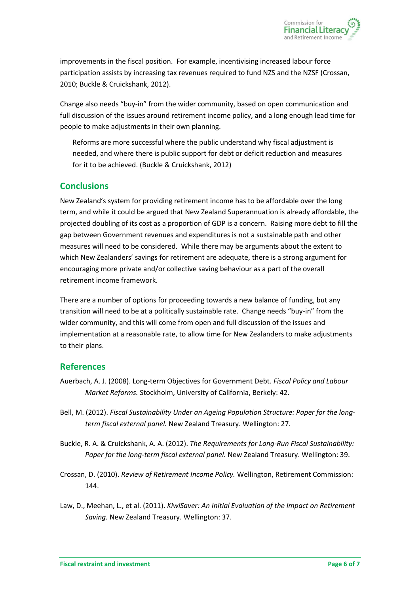improvements in the fiscal position. For example, incentivising increased labour force participation assists by increasing tax revenues required to fund NZS and the NZSF [\(Crossan,](#page-5-3) [2010;](#page-5-3) Buckle & [Cruickshank,](#page-5-1) 2012).

Change also needs "buy-in" from the wider community, based on open communication and full discussion of the issues around retirement income policy, and a long enough lead time for people to make adjustments in their own planning.

Reforms are more successful where the public understand why fiscal adjustment is needed, and where there is public support for debt or deficit reduction and measures for it to be achieved. (Buckle & [Cruickshank,](#page-5-1) 2012)

## **Conclusions**

New Zealand's system for providing retirement income has to be affordable over the long term, and while it could be argued that New Zealand Superannuation is already affordable, the projected doubling of its cost as a proportion of GDP is a concern. Raising more debt to fill the gap between Government revenues and expenditures is not a sustainable path and other measures will need to be considered. While there may be arguments about the extent to which New Zealanders' savings for retirement are adequate, there is a strong argument for encouraging more private and/or collective saving behaviour as a part of the overall retirement income framework.

There are a number of options for proceeding towards a new balance of funding, but any transition will need to be at a politically sustainable rate. Change needs "buy-in" from the wider community, and this will come from open and full discussion of the issues and implementation at a reasonable rate, to allow time for New Zealanders to make adjustments to their plans.

## **References**

- <span id="page-5-0"></span>Auerbach, A. J. (2008). Long-term Objectives for Government Debt. *Fiscal Policy and Labour Market Reforms.* Stockholm, University of California, Berkely: 42.
- Bell, M. (2012). *Fiscal Sustainability Under an Ageing Population Structure: Paper for the longterm fiscal external panel.* New Zealand Treasury. Wellington: 27.
- <span id="page-5-1"></span>Buckle, R. A. & Cruickshank, A. A. (2012). *The Requirements for Long-Run Fiscal Sustainability: Paper for the long-term fiscal external panel.* New Zealand Treasury. Wellington: 39.
- <span id="page-5-3"></span>Crossan, D. (2010). *Review of Retirement Income Policy.* Wellington, Retirement Commission: 144.
- <span id="page-5-2"></span>Law, D., Meehan, L., et al. (2011). *KiwiSaver: An Initial Evaluation of the Impact on Retirement Saving.* New Zealand Treasury. Wellington: 37.